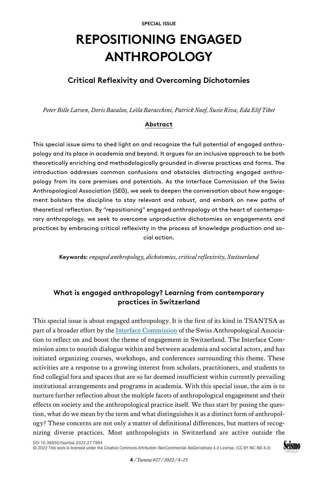# **REPOSITIONING ENGAGED ANTHROPOLOGY**

# **Critical Reflexivity and Overcoming Dichotomies**

*Peter Bille Larsen, Doris Bacalzo, Leïla Baracchini, Patrick Naef, Susie Riva, Eda Elif Tibet* 

## **Abstract**

This special issue aims to shed light on and recognize the full potential of engaged anthropology and its place in academia and beyond. It argues for an inclusive approach to be both theoretically enriching and methodologically grounded in diverse practices and forms. The introduction addresses common confusions and obstacles distracting engaged anthropology from its core premises and potentials. As the Interface Commission of the Swiss Anthropological Association (SEG), we seek to deepen the conversation about how engagement bolsters the discipline to stay relevant and robust, and embark on new paths of theoretical reflection. By "repositioning" engaged anthropology at the heart of contemporary anthropology, we seek to overcome unproductive dichotomies on engagements and practices by embracing critical reflexivity in the process of knowledge production and social action.

**Keywords:** *engaged anthropology, dichotomies, critical reflexivity, Switzerland*

# **What is engaged anthropology? Learning from contemporary practices in Switzerland**

This special issue is about engaged anthropology. It is the first of its kind in TSANTSA as part of a broader effort by the [Interface Commission](https://www.seg-interface.org) of the Swiss Anthropological Association to reflect on and boost the theme of engagement in Switzerland. The Interface Commission aims to nourish dialogue within and between academia and societal actors, and has initiated organizing courses, workshops, and conferences surrounding this theme. These activities are a response to a growing interest from scholars, practitioners, and students to find collegial fora and spaces that are so far deemed insufficient within currently prevailing institutional arrangements and programs in academia. With this special issue, the aim is to nurture further reflection about the multiple facets of anthropological engagement and their effects on society and the anthropological practice itself. We thus start by posing the question, what do we mean by the term and what distinguishes it as a distinct form of anthropology? These concerns are not only a matter of definitional differences, but matters of recognizing diverse practices. Most anthropologists in Switzerland are active outside the

[DOI 10.36950/tsantsa.2022.27.7994](https://doi.org/10.36950/tsantsa.2022.27.7994) [© 2022 This work is licensed under the Creative Commons Attribution-NonCommercial-NoDerivatives 4.0 License. \(CC BY-NC-ND 4.0\)](https://creativecommons.org/licenses/by-nc-nd/4.0/deed.en)

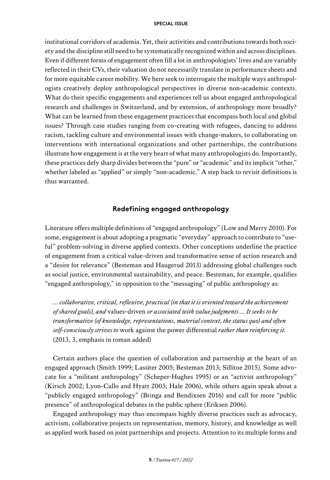institutional corridors of academia. Yet, their activities and contributions towards both society and the discipline still need to be systematically recognized within and across disciplines. Even if different forms of engagement often fill a lot in anthropologists' lives and are variably reflected in their CVs, their valuation do not necessarily translate in performance sheets and for more equitable career mobility. We here seek to interrogate the multiple ways anthropologists creatively deploy anthropological perspectives in diverse non-academic contexts. What do their specific engagements and experiences tell us about engaged anthropological research and challenges in Switzerland, and by extension, of anthropology more broadly? What can be learned from these engagement practices that encompass both local and global issues? Through case studies ranging from co-creating with refugees, dancing to address racism, tackling culture and environmental issues with change-makers, to collaborating on interventions with international organizations and other partnerships, the contributions illustrate how engagement is at the very heart of what many anthropologists do. Importantly, these practices defy sharp divides between the "pure" or "academic" and its implicit "other," whether labeled as "applied" or simply "non-academic." A step back to revisit definitions is thus warranted.

## **Redefining engaged anthropology**

Literature offers multiple definitions of "engaged anthropology" (Low and Merry 2010). For some, engagement is about adopting a pragmatic "everyday" approach to contribute to "useful" problem-solving in diverse applied contexts. Other conceptions underline the practice of engagement from a critical value-driven and transformative sense of action research and a "desire for relevance" (Besteman and Haugerud 2013) addressing global challenges such as social justice, environmental sustainability, and peace. Besteman, for example, qualifies "engaged anthropology," in opposition to the "messaging" of public anthropology as:

*… collaborative, critical, reflexive, practical (in that it is oriented toward the achievement of shared goals), and* values-driven *or associated with value judgments … It seeks to be transformative (of knowledge, representations, material context, the status quo) and often self-consciously strives to* work against the power differential *rather than reinforcing it.*  (2013, 3, emphasis in roman added)

Certain authors place the question of collaboration and partnership at the heart of an engaged approach (Smith 1999; Lassiter 2005; Besteman 2013; Sillitoe 2015). Some advocate for a "militant anthropology" (Scheper-Hughes 1995) or an "activist anthropology" (Kirsch 2002; Lyon-Callo and Hyatt 2003; Hale 2006), while others again speak about a "publicly engaged anthropology" (Bringa and Bendixsen 2016) and call for more "public presence" of anthropological debates in the public sphere (Eriksen 2006).

Engaged anthropology may thus encompass highly diverse practices such as advocacy, activism, collaborative projects on representation, memory, history, and knowledge as well as applied work based on joint partnerships and projects. Attention to its multiple forms and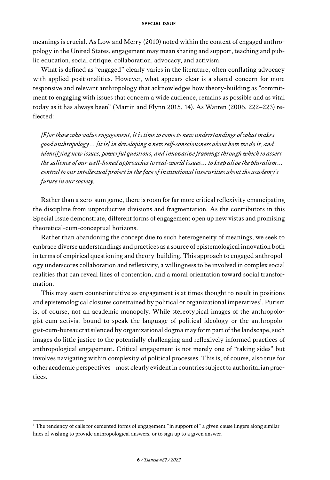meanings is crucial. As Low and Merry (2010) noted within the context of engaged anthropology in the United States, engagement may mean sharing and support, teaching and public education, social critique, collaboration, advocacy, and activism.

What is defined as "engaged" clearly varies in the literature, often conflating advocacy with applied positionalities. However, what appears clear is a shared concern for more responsive and relevant anthropology that acknowledges how theory-building as "commitment to engaging with issues that concern a wide audience, remains as possible and as vital today as it has always been" (Martin and Flynn 2015, 14). As Warren (2006, 222–223) reflected:

*[F]or those who value engagement, it is time to come to new understandings of what makes good anthropology… [it is] in developing a new self-consciousness about how we do it, and identifying new issues, powerful questions, and innovative framings through which to assert the salience of our well-honed approaches to real-world issues… to keep alive the pluralism… central to our intellectual project in the face of institutional insecurities about the academy's future in our society.*

Rather than a zero-sum game, there is room for far more critical reflexivity emancipating the discipline from unproductive divisions and fragmentation. As the contributors in this Special Issue demonstrate, different forms of engagement open up new vistas and promising theoretical-cum-conceptual horizons.

Rather than abandoning the concept due to such heterogeneity of meanings, we seek to embrace diverse understandings and practices as a source of epistemological innovation both in terms of empirical questioning and theory-building. This approach to engaged anthropology underscores collaboration and reflexivity, a willingness to be involved in complex social realities that can reveal lines of contention, and a moral orientation toward social transformation.

This may seem counterintuitive as engagement is at times thought to result in positions and epistemological closures constrained by political or organizational imperatives<sup>1</sup>. Purism is, of course, not an academic monopoly. While stereotypical images of the anthropologist-cum-activist bound to speak the language of political ideology or the anthropologist-cum-bureaucrat silenced by organizational dogma may form part of the landscape, such images do little justice to the potentially challenging and reflexively informed practices of anthropological engagement. Critical engagement is not merely one of "taking sides" but involves navigating within complexity of political processes. This is, of course, also true for other academic perspectives – most clearly evident in countries subject to authoritarian practices.

<sup>1</sup> The tendency of calls for cemented forms of engagement "in support of" a given cause lingers along similar lines of wishing to provide anthropological answers, or to sign up to a given answer.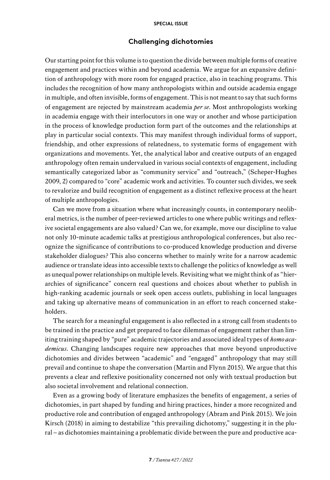## **Challenging dichotomies**

Our starting point for this volume is to question the divide between multiple forms of creative engagement and practices within and beyond academia. We argue for an expansive definition of anthropology with more room for engaged practice, also in teaching programs. This includes the recognition of how many anthropologists within and outside academia engage in multiple, and often invisible, forms of engagement. This is not meant to say that such forms of engagement are rejected by mainstream academia *per se*. Most anthropologists working in academia engage with their interlocutors in one way or another and whose participation in the process of knowledge production form part of the outcomes and the relationships at play in particular social contexts. This may manifest through individual forms of support, friendship, and other expressions of relatedness, to systematic forms of engagement with organizations and movements. Yet, the analytical labor and creative outputs of an engaged anthropology often remain undervalued in various social contexts of engagement, including semantically categorized labor as "community service" and "outreach," (Scheper-Hughes 2009, 2) compared to "core" academic work and activities. To counter such divides, we seek to revalorize and build recognition of engagement as a distinct reflexive process at the heart of multiple anthropologies.

Can we move from a situation where what increasingly counts, in contemporary neoliberal metrics, is the number of peer-reviewed articles to one where public writings and reflexive societal engagements are also valued? Can we, for example, move our discipline to value not only 10-minute academic talks at prestigious anthropological conferences, but also recognize the significance of contributions to co-produced knowledge production and diverse stakeholder dialogues? This also concerns whether to mainly write for a narrow academic audience or translate ideas into accessible texts to challenge the politics of knowledge as well as unequal power relationships on multiple levels. Revisiting what we might think of as "hierarchies of significance" concern real questions and choices about whether to publish in high-ranking academic journals or seek open access outlets, publishing in local languages and taking up alternative means of communication in an effort to reach concerned stakeholders.

The search for a meaningful engagement is also reflected in a strong call from students to be trained in the practice and get prepared to face dilemmas of engagement rather than limiting training shaped by "pure" academic trajectories and associated ideal types of *homo academicus*. Changing landscapes require new approaches that move beyond unproductive dichotomies and divides between "academic" and "engaged" anthropology that may still prevail and continue to shape the conversation (Martin and Flynn 2015). We argue that this prevents a clear and reflexive positionality concerned not only with textual production but also societal involvement and relational connection.

Even as a growing body of literature emphasizes the benefits of engagement, a series of dichotomies, in part shaped by funding and hiring practices, hinder a more recognized and productive role and contribution of engaged anthropology (Abram and Pink 2015). We join Kirsch (2018) in aiming to destabilize "this prevailing dichotomy," suggesting it in the plural – as dichotomies maintaining a problematic divide between the pure and productive aca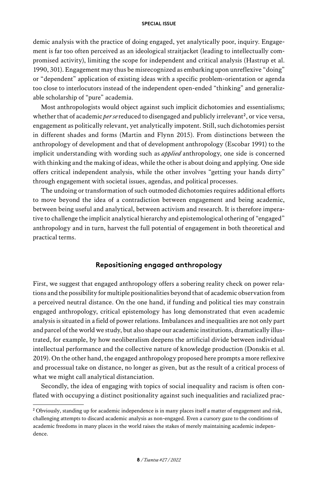demic analysis with the practice of doing engaged, yet analytically poor, inquiry. Engagement is far too often perceived as an ideological straitjacket (leading to intellectually compromised activity), limiting the scope for independent and critical analysis (Hastrup et al. 1990, 301). Engagement may thus be misrecognized as embarking upon unreflexive "doing" or "dependent" application of existing ideas with a specific problem-orientation or agenda too close to interlocutors instead of the independent open-ended "thinking" and generalizable scholarship of "pure" academia.

Most anthropologists would object against such implicit dichotomies and essentialisms; whether that of academic *per se* reduced to disengaged and publicly irrelevant<sup>2</sup>, or vice versa, engagement as politically relevant, yet analytically impotent. Still, such dichotomies persist in different shades and forms (Martin and Flynn 2015). From distinctions between the anthropology of development and that of development anthropology (Escobar 1991) to the implicit understanding with wording such as *applied* anthropology, one side is concerned with thinking and the making of ideas, while the other is about doing and applying. One side offers critical independent analysis, while the other involves "getting your hands dirty" through engagement with societal issues, agendas, and political processes.

The undoing or transformation of such outmoded dichotomies requires additional efforts to move beyond the idea of a contradiction between engagement and being academic, between being useful and analytical, between activism and research. It is therefore imperative to challenge the implicit analytical hierarchy and epistemological othering of "engaged" anthropology and in turn, harvest the full potential of engagement in both theoretical and practical terms.

## **Repositioning engaged anthropology**

First, we suggest that engaged anthropology offers a sobering reality check on power relations and the possibility for multiple positionalities beyond that of academic observation from a perceived neutral distance. On the one hand, if funding and political ties may constrain engaged anthropology, critical epistemology has long demonstrated that even academic analysis is situated in a field of power relations. Imbalances and inequalities are not only part and parcel of the world we study, but also shape our academic institutions, dramatically illustrated, for example, by how neoliberalism deepens the artificial divide between individual intellectual performance and the collective nature of knowledge production (Donskis et al. 2019). On the other hand, the engaged anthropology proposed here prompts a more reflexive and processual take on distance, no longer as given, but as the result of a critical process of what we might call analytical distanciation.

Secondly, the idea of engaging with topics of social inequality and racism is often conflated with occupying a distinct positionality against such inequalities and racialized prac-

<sup>&</sup>lt;sup>2</sup> Obviously, standing up for academic independence is in many places itself a matter of engagement and risk, challenging attempts to discard academic analysis as non-engaged. Even a cursory gaze to the conditions of academic freedoms in many places in the world raises the stakes of merely maintaining academic independence.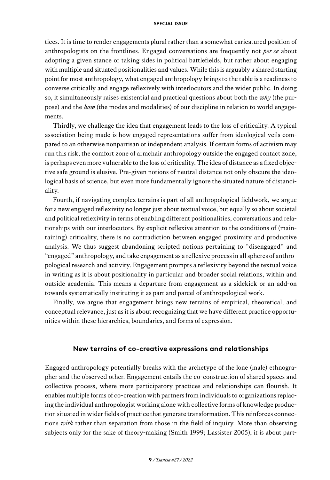tices. It is time to render engagements plural rather than a somewhat caricatured position of anthropologists on the frontlines. Engaged conversations are frequently not *per se* about adopting a given stance or taking sides in political battlefields, but rather about engaging with multiple and situated positionalities and values. While this is arguably a shared starting point for most anthropology, what engaged anthropology brings to the table is a readiness to converse critically and engage reflexively with interlocutors and the wider public. In doing so, it simultaneously raises existential and practical questions about both the *why* (the purpose) and the *how* (the modes and modalities) of our discipline in relation to world engagements.

Thirdly, we challenge the idea that engagement leads to the loss of criticality. A typical association being made is how engaged representations suffer from ideological veils compared to an otherwise nonpartisan or independent analysis. If certain forms of activism may run this risk, the comfort zone of armchair anthropology outside the engaged contact zone, is perhaps even more vulnerable to the loss of criticality. The idea of distance as a fixed objective safe ground is elusive. Pre-given notions of neutral distance not only obscure the ideological basis of science, but even more fundamentally ignore the situated nature of distanciality.

Fourth, if navigating complex terrains is part of all anthropological fieldwork, we argue for a new engaged reflexivity no longer just about textual voice, but equally so about societal and political reflexivity in terms of enabling different positionalities, conversations and relationships with our interlocutors. By explicit reflexive attention to the conditions of (maintaining) criticality, there is no contradiction between engaged proximity and productive analysis. We thus suggest abandoning scripted notions pertaining to "disengaged" and "engaged" anthropology, and take engagement as a reflexive process in all spheres of anthropological research and activity. Engagement prompts a reflexivity beyond the textual voice in writing as it is about positionality in particular and broader social relations, within and outside academia. This means a departure from engagement as a sidekick or an add-on towards systematically instituting it as part and parcel of anthropological work.

Finally, we argue that engagement brings new terrains of empirical, theoretical, and conceptual relevance, just as it is about recognizing that we have different practice opportunities within these hierarchies, boundaries, and forms of expression.

## **New terrains of co-creative expressions and relationships**

Engaged anthropology potentially breaks with the archetype of the lone (male) ethnographer and the observed other. Engagement entails the co-construction of shared spaces and collective process, where more participatory practices and relationships can flourish. It enables multiple forms of co-creation with partners from individuals to organizations replacing the individual anthropologist working alone with collective forms of knowledge production situated in wider fields of practice that generate transformation. This reinforces connections *with* rather than separation from those in the field of inquiry. More than observing subjects only for the sake of theory-making (Smith 1999; Lassister 2005), it is about part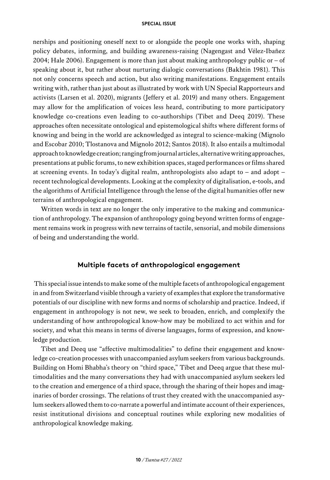nerships and positioning oneself next to or alongside the people one works with, shaping policy debates, informing, and building awareness-raising (Nagengast and Vélez-Ibañez 2004; Hale 2006). Engagement is more than just about making anthropology public or  $-$  of speaking about it, but rather about nurturing dialogic conversations (Bakhtin 1981). This not only concerns speech and action, but also writing manifestations. Engagement entails writing with, rather than just about as illustrated by work with UN Special Rapporteurs and activists (Larsen et al. 2020), migrants (Jeffery et al. 2019) and many others. Engagement may allow for the amplification of voices less heard, contributing to more participatory knowledge co-creations even leading to co-authorships (Tibet and Deeq 2019). These approaches often necessitate ontological and epistemological shifts where different forms of knowing and being in the world are acknowledged as integral to science-making (Mignolo and Escobar 2010; Tlostanova and Mignolo 2012; Santos 2018). It also entails a multimodal approach to knowledge creation; ranging from journal articles, alternative writing approaches, presentations at public forums, to new exhibition spaces, staged performances or films shared at screening events. In today's digital realm, anthropologists also adapt to – and adopt – recent technological developments. Looking at the complexity of digitalisation, e-tools, and the algorithms of Artificial Intelligence through the lense of the digital humanities offer new terrains of anthropological engagement.

Written words in text are no longer the only imperative to the making and communication of anthropology. The expansion of anthropology going beyond written forms of engagement remains work in progress with new terrains of tactile, sensorial, and mobile dimensions of being and understanding the world.

## **Multiple facets of anthropological engagement**

 This special issue intends to make some of the multiple facets of anthropological engagement in and from Switzerland visible through a variety of examples that explore the transformative potentials of our discipline with new forms and norms of scholarship and practice. Indeed, if engagement in anthropology is not new, we seek to broaden, enrich, and complexify the understanding of how anthropological know-how may be mobilized to act within and for society, and what this means in terms of diverse languages, forms of expression, and knowledge production.

Tibet and Deeq use "affective multimodalities" to define their engagement and knowledge co-creation processes with unaccompanied asylum seekers from various backgrounds. Building on Homi Bhabha's theory on "third space," Tibet and Deeq argue that these multimodalities and the many conversations they had with unaccompanied asylum seekers led to the creation and emergence of a third space, through the sharing of their hopes and imaginaries of border crossings. The relations of trust they created with the unaccompanied asylum seekers allowed them to co-narrate a powerful and intimate account of their experiences, resist institutional divisions and conceptual routines while exploring new modalities of anthropological knowledge making.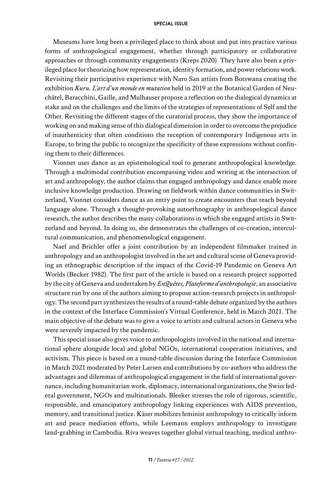Museums have long been a privileged place to think about and put into practice various forms of anthropological engagement, whether through participatory or collaborative approaches or through community engagements (Kreps 2020). They have also been a privileged place for theorizing how representation, identity formation, and power relations work. Revisiting their participative experience with Naro San artists from Botswana creating the exhibition *Kuru. L'art d'un monde en mutation* held in 2019 at the Botanical Garden of Neuchâtel, Baracchini, Gaille, and Mulhauser propose a reflection on the dialogical dynamics at stake and on the challenges and the limits of the strategies of representations of Self and the Other. Revisiting the different stages of the curatorial process, they show the importance of working on and making sense of this dialogical dimension in order to overcome the prejudice of inauthenticity that often conditions the reception of contemporary Indigenous arts in Europe, to bring the public to recognize the specificity of these expressions without confining them to their differences.

Vionnet uses dance as an epistemological tool to generate anthropological knowledge. Through a multimodal contribution encompassing video and writing at the intersection of art and anthropology, the author claims that engaged anthropology and dance enable more inclusive knowledge production. Drawing on fieldwork within dance communities in Switzerland, Vionnet considers dance as an entry point to create encounters that reach beyond language alone. Through a thought-provoking autoethnography in anthropological dance research, the author describes the many collaborations in which she engaged artists in Switzerland and beyond. In doing so, she demonstrates the challenges of co-creation, intercultural communication, and phenomenological engagement.

Naef and Brichler offer a joint contribution by an independent filmmaker trained in anthropology and an anthropologist involved in the art and cultural scene of Geneva providing an ethnographic description of the impact of the Covid-19 Pandemic on Geneva Art Worlds (Becker 1982). The first part of the article is based on a research project supported by the city of Geneva and undertaken by *EnQuêtes, Plateforme d'anthropologie*, an associative structure run by one of the authors aiming to propose action-research projects in anthropology. The second part synthesizes the results of a round-table debate organized by the authors in the context of the Interface Commission's Virtual Conference, held in March 2021. The main objective of the debate was to give a voice to artists and cultural actors in Geneva who were severely impacted by the pandemic.

This special issue also gives voice to anthropologists involved in the national and international sphere alongside local and global NGOs, international cooperation initiatives, and activism. This piece is based on a round-table discussion during the Interface Commission in March 2021 moderated by Peter Larsen and contributions by co-authors who address the advantages and dilemmas of anthropological engagement in the field of international governance, including humanitarian work, diplomacy, international organizations, the Swiss federal government, NGOs and multinationals. Bleeker stresses the role of rigorous, scientific, responsible, and emancipatory anthropology linking experiences with AIDS prevention, memory, and transitional justice. Käser mobilizes feminist anthropology to critically inform art and peace mediation efforts, while Leemann employs anthropology to investigate land-grabbing in Cambodia. Riva weaves together global virtual teaching, medical anthro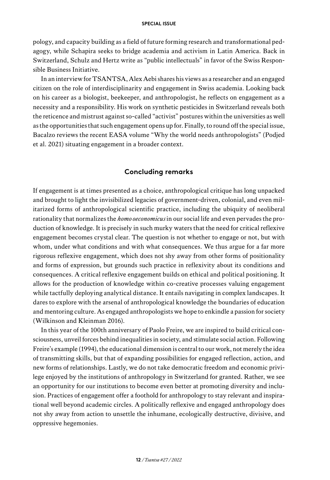pology, and capacity building as a field of future forming research and transformational pedagogy, while Schapira seeks to bridge academia and activism in Latin America. Back in Switzerland, Schulz and Hertz write as "public intellectuals" in favor of the Swiss Responsible Business Initiative.

In an interview for TSANTSA, Alex Aebi shares his views as a researcher and an engaged citizen on the role of interdisciplinarity and engagement in Swiss academia. Looking back on his career as a biologist, beekeeper, and anthropologist, he reflects on engagement as a necessity and a responsibility. His work on synthetic pesticides in Switzerland reveals both the reticence and mistrust against so-called "activist" postures within the universities as well as the opportunities that such engagement opens up for. Finally, to round off the special issue, Bacalzo reviews the recent EASA volume "Why the world needs anthropologists" (Podjed et al. 2021) situating engagement in a broader context.

## **Concluding remarks**

If engagement is at times presented as a choice, anthropological critique has long unpacked and brought to light the invisibilized legacies of government-driven, colonial, and even militarized forms of anthropological scientific practice, including the ubiquity of neoliberal rationality that normalizes the *homo oeconomicus* in our social life and even pervades the production of knowledge. It is precisely in such murky waters that the need for critical reflexive engagement becomes crystal clear. The question is not whether to engage or not, but with whom, under what conditions and with what consequences. We thus argue for a far more rigorous reflexive engagement, which does not shy away from other forms of positionality and forms of expression, but grounds such practice in reflexivity about its conditions and consequences. A critical reflexive engagement builds on ethical and political positioning. It allows for the production of knowledge within co-creative processes valuing engagement while tactfully deploying analytical distance. It entails navigating in complex landscapes. It dares to explore with the arsenal of anthropological knowledge the boundaries of education and mentoring culture. As engaged anthropologists we hope to enkindle a passion for society (Wilkinson and Kleinman 2016).

In this year of the 100th anniversary of Paolo Freire, we are inspired to build critical consciousness, unveil forces behind inequalities in society, and stimulate social action. Following Freire's example (1994), the educational dimension is central to our work, not merely the idea of transmitting skills, but that of expanding possibilities for engaged reflection, action, and new forms of relationships. Lastly, we do not take democratic freedom and economic privilege enjoyed by the institutions of anthropology in Switzerland for granted. Rather, we see an opportunity for our institutions to become even better at promoting diversity and inclusion. Practices of engagement offer a foothold for anthropology to stay relevant and inspirational well beyond academic circles. A politically reflexive and engaged anthropology does not shy away from action to unsettle the inhumane, ecologically destructive, divisive, and oppressive hegemonies.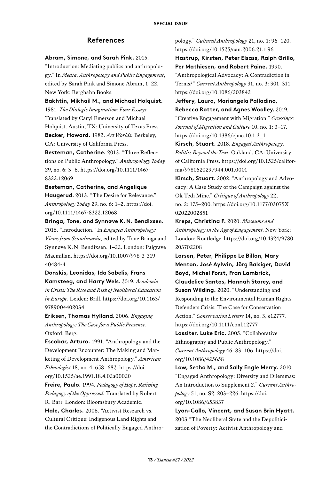### **References**

#### **Abram, Simone, and Sarah Pink.** 2015.

"Introduction: Mediating publics and anthropology." In *Media, Anthropology and Public Engagement*, edited by Sarah Pink and Simone Abram, 1–22. New York: Berghahn Books.

**Bakhtin, Mikhail M., and Michael Holquist.**  1981. *The Dialogic Imagination: Four Essays.*  Translated by Caryl Emerson and Michael Holquist. Austin, TX: University of Texas Press. **Becker, Howard.** 1982. *Art Worlds.* Berkeley, CA: University of California Press.

**Besteman, Catherine.** 2013. "Three Reflections on Public Anthropology." *Anthropology Today*  29, no. 6: 3–6. [https://doi.org/10.1111/1467-](https://doi.org/10.1111/1467-8322.12069)[8322.12069](https://doi.org/10.1111/1467-8322.12069)

## **Besteman, Catherine, and Angelique Haugerud.** 2013. "The Desire for Relevance." *Anthropology Today* 29, no. 6: 1–2. [https://doi.](https://doi.org/10.1111/1467-8322.12068) [org/10.1111/1467-8322.12068](https://doi.org/10.1111/1467-8322.12068)

**Bringa, Tone, and Synnøve K.N. Bendixsen.**  2016. "Introduction." In *Engaged Anthropology: Views from Scandinavia*, edited by Tone Bringa and Synnøve K.N. Bendixsen, 1–22. London: Palgrave Macmillan. [https://doi.org/10.1007/978-3-319-](https://doi.org/10.1007/978-3-319-40484-4)[40484-4](https://doi.org/10.1007/978-3-319-40484-4)

**Donskis, Leonidas, Ida Sabelis, Frans Kamsteeg, and Harry Wels.** 2019. *Academia in Crisis: The Rise and Risk of Neoliberal Education in Europe*. Leiden: Brill. [https://doi.org/10.1163/](https://doi.org/10.1163/9789004402034)  [9789004402034](https://doi.org/10.1163/9789004402034)

**Eriksen, Thomas Hylland.** 2006. *Engaging Anthropology: The Case for a Public Presence*. Oxford: Berg.

**Escobar, Arturo.** 1991. "Anthropology and the Development Encounter: The Making and Marketing of Development Anthropology." *American Ethnologist* 18, no. 4: 658–682. [https://doi.](https://doi.org/10.1525/ae.1991.18.4.02a00020) [org/10.1525/ae.1991.18.4.02a00020](https://doi.org/10.1525/ae.1991.18.4.02a00020) 

**Freire, Paulo.** 1994. *Pedagogy of Hope, Reliving Pedagogy of the Oppressed.* Translated by Robert R. Barr. London: Bloomsbury Academic.

**Hale, Charles.** 2006. "Activist Research vs. Cultural Critique: Indigenous Land Rights and the Contradictions of Politically Engaged Anthropology." *Cultural Anthropology* 21, no. 1: 96–120. <https://doi.org/10.1525/can.2006.21.1.96>

**Hastrup, Kirsten, Peter Elsass, Ralph Grillo, Per Mathiesen, and Robert Paine.** 1990. "Anthropological Advocacy: A Contradiction in Terms?" *Current Anthropology* 31, no. 3: 301–311.

<https://doi.org/10.1086/203842> **Jeffery, Laura, Mariangela Palladino, Rebecca Rotter, and Agnes Woolley.** 2019. "Creative Engagement with Migration." *Crossings: Journal of Migration and Culture* 10, no. 1: 3–17. [https://doi.org/10.1386/cjmc.10.1.3\\_1](https://doi.org/10.1386/cjmc.10.1.3_1)

**Kirsch, Stuart.** 2018. *Engaged Anthropology*. *Politics Beyond the Text*. Oakland, CA: University of California Press. [https://doi.org/10.1525/califor](https://doi.org/10.1525/california/9780520297944.001.0001)[nia/9780520297944.001.0001](https://doi.org/10.1525/california/9780520297944.001.0001)

**Kirsch, Stuart.** 2002. "Anthropology and Advocacy: A Case Study of the Campaign against the Ok Tedi Mine." *Critique of Anthropology* 22, no. 2: 175–200. [https://doi.org/10.1177/03075X](https://doi.org/10.1177/03075X02022002851)  [02022002851](https://doi.org/10.1177/03075X02022002851)

**Kreps, Christina F.** 2020. *Museums and Anthropology in the Age of Engagement*. New York; London: Routledge. [https://doi.org/10.4324/9780](https://doi.org/10.4324/9780203702208)  [203702208](https://doi.org/10.4324/9780203702208)

**Larsen, Peter, Philippe Le Billon, Mary Menton, José Aylwin, Jörg Balsiger, David Boyd, Michel Forst, Fran Lambrick, Claudelice Santos, Hannah Storey, and Susan Wilding.** 2020. "Understanding and Responding to the Environmental Human Rights Defenders Crisis: The Case for Conservation Action." *Conservation Letters* 14, no. 3, e12777. <https://doi.org/10.1111/conl.12777>

**Lassiter, Luke Eric.** 2005. "Collaborative Ethnography and Public Anthropology." *Current Anthropology* 46: 83–106. [https://doi.](https://doi.org/10.1086/425658) [org/10.1086/425658](https://doi.org/10.1086/425658)

**Low, Setha M., and Sally Engle Merry.** 2010. "Engaged Anthropology: Diversity and Dilemmas: An Introduction to Supplement 2." *Current Anthropology* 51, no. S2: 203–226. [https://doi.](https://doi.org/10.1086/653837) [org/10.1086/653837](https://doi.org/10.1086/653837)

**Lyon-Callo, Vincent, and Susan Brin Hyatt.** 2003 "The Neoliberal State and the Depoliticization of Poverty: Activist Anthropology and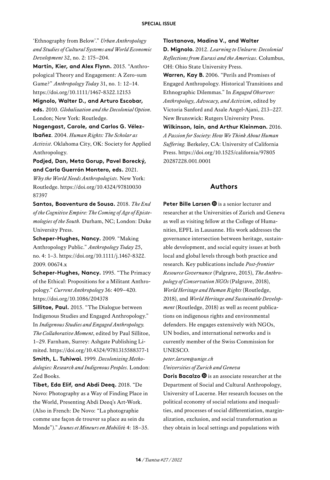'Ethnography from Below'." *Urban Anthropology and Studies of Cultural Systems and World Economic Development* 32, no. 2: 175–204.

**Martin, Kier, and Alex Flynn.** 2015. "Anthropological Theory and Engagement: A Zero-sum Game?" *Anthropology Today* 31, no. 1: 12–14. <https://doi.org/10.1111/1467-8322.12153>

**Mignolo, Walter D., and Arturo Escobar, eds.** 2010. *Globalization and the Decolonial Option*. London; New York: Routledge.

**Nagengast, Carole, and Carlos G. Vélez-Ibañez**. 2004. *Human Rights: The Scholar as Activist*. Oklahoma City, OK: Society for Applied Anthropology.

**Podjed, Dan, Meta Gorup, Pavel Borecký, and Carla Guerrón Montero, eds.** 2021.

*Why the World Needs Anthropologists*. New York: Routledge. [https://doi.org/10.4324/97810030](https://doi.org/10.4324/9781003087397)  [87397](https://doi.org/10.4324/9781003087397)

**Santos, Boaventura de Sousa.** 2018. *The End of the Cognitive Empire: The Coming of Age of Epistemologies of the South.* Durham, NC; London: Duke University Press.

**Scheper-Hughes, Nancy.** 2009. "Making Anthropology Public." *Anthropology Today* 25, no. 4: 1–3. [https://doi.org/10.1111/j.1467-8322.](https://doi.org/10.1111/j.1467-8322.2009.00674.x)  [2009. 00674.x](https://doi.org/10.1111/j.1467-8322.2009.00674.x)

**Scheper-Hughes, Nancy.** 1995. "The Primacy of the Ethical: Propositions for a Militant Anthropology." *Current Anthropology* 36: 409–420. <https://doi.org/10.1086/204378>

**Sillitoe, Paul.** 2015. "The Dialogue between Indigenous Studies and Engaged Anthropology." In *Indigenous Studies and Engaged Anthropology. The Collaborative Moment*, edited by Paul Sillitoe, 1–29. Farnham, Surrey: Ashgate Publishing Limited.<https://doi.org/10.4324/9781315588377-1>

**Smith, L. Tuhiwai.** 1999. *Decolonizing Methodologies: Research and Indigenous Peoples*. London: Zed Books.

**Tibet, Eda Elif, and Abdi Deeq.** 2018. "De Novo: Photography as a Way of Finding Place in the World, Presenting Abdi Deeq's Art-Work. (Also in French: De Novo: "La photographie comme une façon de trouver sa place au sein du Monde")." *Jeunes et Mineurs en Mobilit*é 4: 18–35.

#### **Tlostanova, Madina V., and Walter**

**D. Mignolo.** 2012. *Learning to Unlearn: Decolonial Reflections from Eurasi and the Americas*. Columbus, OH: Ohio State University Press.

**Warren, Kay B.** 2006. "Perils and Promises of Engaged Anthropology. Historical Transitions and Ethnographic Dilemmas." In *Engaged Observer: Anthropology, Advocacy, and Activism*, edited by Victoria Sanford and Asale Angel-Ajani, 213–227. New Brunswick: Rutgers University Press. **Wilkinson, Iain, and Arthur Kleinman.** 2016. *A Passion for Society: How We Think About Human Suffering.* Berkeley, CA: University of California Press. [https://doi.org/10.1525/california/97805](https://doi.org/10.1525/california/9780520287228.001.0001)  [20287228.001.0001](https://doi.org/10.1525/california/9780520287228.001.0001)

#### **Authors**

**Peter Bille Larsen**  $\bullet$  is a senior lecturer and researcher at the Universities of Zurich and Geneva as well as visiting fellow at the College of Humanities, EPFL in Lausanne. His work addresses the governance intersection between heritage, sustainable development, and social equity issues at both local and global levels through both practice and research. Key publications include *Post-frontier Resource Governance* (Palgrave, 2015), *The Anthropology of Conservation NGOs* (Palgrave, 2018), *World Heritage and Human Rights* (Routledge, 2018), and *World Heritage and Sustainable Development* (Routledge, 2018) as well as recent publications on indigenous rights and environmental defenders. He engages extensively with NGOs, UN bodies, and international networks and is currently member of the Swiss Commission for UNESCO.

#### *[peter.larsen@unige.ch](mailto:peter.larsen@unige.ch) Universities of Zurich and Geneva*

**Doris Bacalzo**  $\bullet$  is an associate researcher at the Department of Social and Cultural Anthropology, University of Lucerne. Her research focuses on the political economy of social relations and inequalities, and processes of social differentiation, marginalization, exclusion, and social transformation as they obtain in local settings and populations with